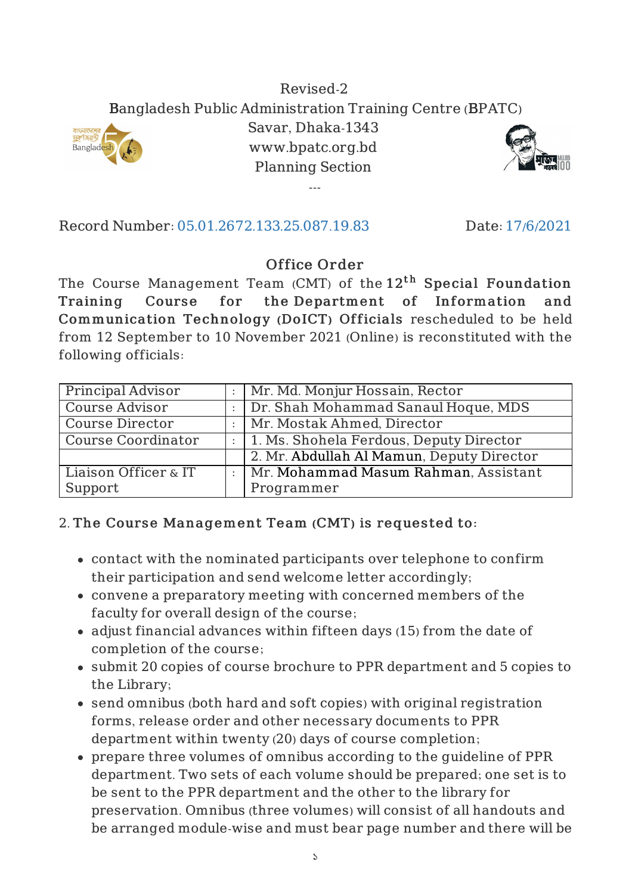#### Revised-2 Bangladesh Public Administration Training Centre (BPATC) Savar, Dhaka-1343

www.bpatc.org.bd Planning Section ---





Record Number: 05.01.2672.133.25.087.19.83 Date: 17/6/2021

# Office Order

The Course Management Team (CMT) of the  $12^{\rm th}$  <code>Special Foundation</code> Training Course for the Department of Information and Communication Technology (DoICT) Officials rescheduled to be held from 12 September to 10 November 2021 (Online) is reconstituted with the following officials:

| Principal Advisor      |                           | Mr. Md. Monjur Hossain, Rector            |
|------------------------|---------------------------|-------------------------------------------|
| <b>Course Advisor</b>  |                           | Dr. Shah Mohammad Sanaul Hoque, MDS       |
| <b>Course Director</b> |                           | : Mr. Mostak Ahmed, Director              |
| Course Coordinator     |                           | : 1. Ms. Shohela Ferdous, Deputy Director |
|                        |                           | 2. Mr. Abdullah Al Mamun, Deputy Director |
| Liaison Officer & IT   | $\mathbb{R}^{\mathbb{Z}}$ | Mr. Mohammad Masum Rahman, Assistant      |
| Support                |                           | Programmer                                |

## 2. The Course Management Team (CMT) is requested to:

- contact with the nominated participants over telephone to confirm their participation and send welcome letter accordingly;
- convene a preparatory meeting with concerned members of the faculty for overall design of the course;
- adjust financial advances within fifteen days (15) from the date of completion of the course;
- submit 20 copies of course brochure to PPR department and 5 copies to the Library;
- send omnibus (both hard and soft copies) with original registration forms, release order and other necessary documents to PPR department within twenty (20) days of course completion;
- prepare three volumes of omnibus according to the guideline of PPR department. Two sets of each volume should be prepared; one set is to be sent to the PPR department and the other to the library for preservation. Omnibus (three volumes) will consist of all handouts and be arranged module-wise and must bear page number and there will be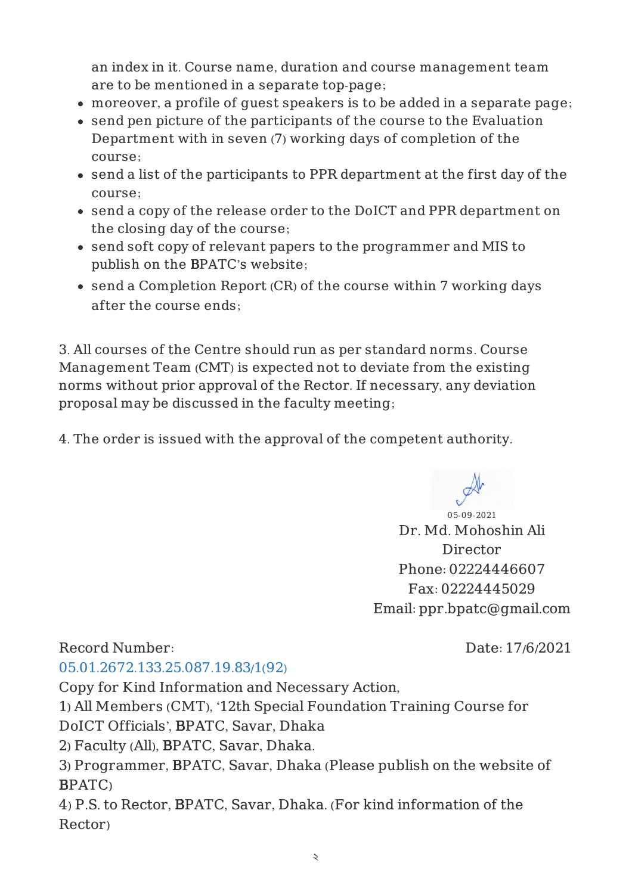an index in it. Course name, duration and course management team are to be mentioned in a separate top-page;

- moreover, a profile of guest speakers is to be added in a separate page;
- send pen picture of the participants of the course to the Evaluation Department with in seven (7) working days of completion of the course;
- send a list of the participants to PPR department at the first day of the course;
- send a copy of the release order to the DoICT and PPR department on the closing day of the course;
- send soft copy of relevant papers to the programmer and MIS to publish on the BPATC's website;
- send a Completion Report (CR) of the course within 7 working days after the course ends;

3. All courses of the Centre should run as per standard norms. Course Management Team (CMT) is expected not to deviate from the existing norms without prior approval of the Rector. If necessary, any deviation proposal may be discussed in the faculty meeting;

4. The order is issued with the approval of the competent authority.

05-09-2021 Dr. Md. Mohoshin Ali

Director Phone: 02224446607 Fax: 02224445029 Email: ppr.bpatc@gmail.com

## Record Number:

Date: 17/6/2021

#### 05.01.2672.133.25.087.19.83/1(92)

Copy for Kind Information and Necessary Action,

1) All Members (CMT), '12th Special Foundation Training Course for

DoICT Officials', BPATC, Savar, Dhaka

2) Faculty (All), BPATC, Savar, Dhaka.

3) Programmer, BPATC, Savar, Dhaka (Please publish on the website of BPATC)

4) P.S. to Rector, BPATC, Savar, Dhaka. (For kind information of the Rector)